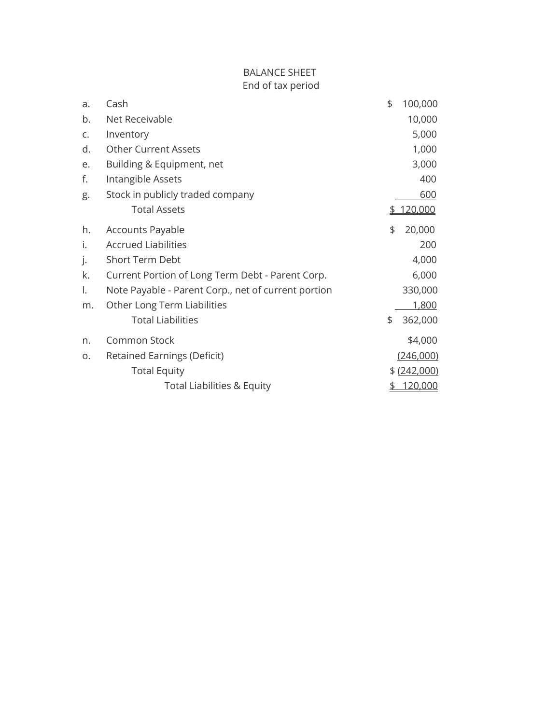## BALANCE SHEET End of tax period

| a. | Cash                                                | \$<br>100,000 |
|----|-----------------------------------------------------|---------------|
| b. | Net Receivable                                      | 10,000        |
| C. | Inventory                                           | 5,000         |
| d. | <b>Other Current Assets</b>                         | 1,000         |
| e. | Building & Equipment, net                           | 3,000         |
| f. | Intangible Assets                                   | 400           |
| g. | Stock in publicly traded company                    | 600           |
|    | <b>Total Assets</b>                                 | \$<br>120,000 |
| h. | <b>Accounts Payable</b>                             | \$<br>20,000  |
| i. | <b>Accrued Liabilities</b>                          | 200           |
| j. | Short Term Debt                                     | 4,000         |
| k. | Current Portion of Long Term Debt - Parent Corp.    | 6,000         |
| Ι. | Note Payable - Parent Corp., net of current portion | 330,000       |
| m. | Other Long Term Liabilities                         | 1,800         |
|    | <b>Total Liabilities</b>                            | \$<br>362,000 |
| n. | Common Stock                                        | \$4,000       |
| Ο. | <b>Retained Earnings (Deficit)</b>                  | (246,000)     |
|    | <b>Total Equity</b>                                 | \$(242,000)   |
|    | <b>Total Liabilities &amp; Equity</b>               | \$<br>120,000 |